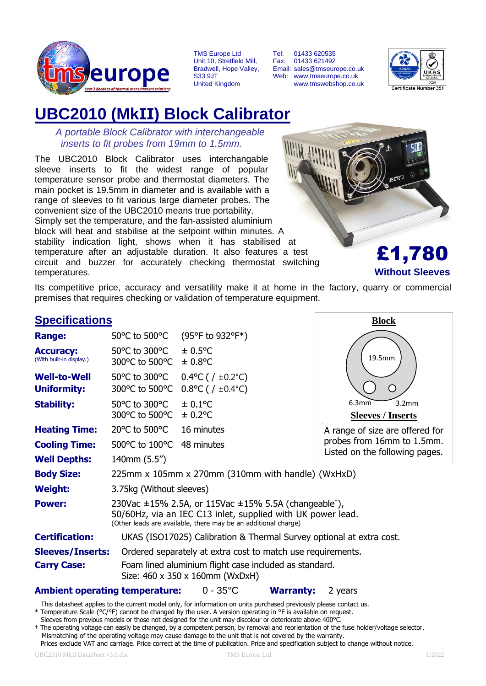

TMS Europe Ltd Unit 10, Stretfield Mill, Bradwell, Hope Valley, S33 9JT United Kingdom

Tel: 01433 620535 Fax: 01433 621492 Email: sales@tmseurope.co.uk Web: www.tmseurope.co.uk www.tmswebshop.co.uk



# **UBC2010 (MkII) Block Calibrator**

*A portable Block Calibrator with interchangeable inserts to fit probes from 19mm to 1.5mm.*

The UBC2010 Block Calibrator uses interchangable sleeve inserts to fit the widest range of popular temperature sensor probe and thermostat diameters. The main pocket is 19.5mm in diameter and is available with a range of sleeves to fit various large diameter probes. The convenient size of the UBC2010 means true portability. Simply set the temperature, and the fan-assisted aluminium block will heat and stabilise at the setpoint within minutes. A stability indication light, shows when it has stabilised at temperature after an adjustable duration. It also features a test circuit and buzzer for accurately checking thermostat switching temperatures.



£1,780 **Without Sleeves**

Its competitive price, accuracy and versatility make it at home in the factory, quarry or commercial premises that requires checking or validation of temperature equipment.

| <b>Specifications</b>                        |                                                                                                                                                                                                              | <b>Block</b>                                                                              |                                                        |  |  |  |
|----------------------------------------------|--------------------------------------------------------------------------------------------------------------------------------------------------------------------------------------------------------------|-------------------------------------------------------------------------------------------|--------------------------------------------------------|--|--|--|
| <b>Range:</b>                                | 50 °C to 500 °C                                                                                                                                                                                              | (95°F to 932°F*)                                                                          |                                                        |  |  |  |
| <b>Accuracy:</b><br>(With built-in display.) | 50°C to 300°C<br>300°C to 500°C                                                                                                                                                                              | $\pm$ 0.5°C<br>$\pm 0.8$ °C                                                               | 19.5mm                                                 |  |  |  |
| <b>Well-to-Well</b><br><b>Uniformity:</b>    | 50°C to 300°C<br>300°C to 500°C                                                                                                                                                                              | $0.4$ °C ( / ±0.2°C)<br>$0.8$ °C ( / ±0.4°C)                                              | ( )                                                    |  |  |  |
| <b>Stability:</b>                            | 50°C to 300°C<br>300°C to 500°C                                                                                                                                                                              | $\pm 0.1$ °C<br>$\pm$ 0.2°C                                                               | 3.2 <sub>mm</sub><br>6.3mm<br><b>Sleeves / Inserts</b> |  |  |  |
| <b>Heating Time:</b>                         | 20°C to 500°C                                                                                                                                                                                                | 16 minutes                                                                                | A range of size are offered for                        |  |  |  |
| <b>Cooling Time:</b>                         | 500°C to 100°C                                                                                                                                                                                               | 48 minutes                                                                                | probes from 16mm to 1.5mm.                             |  |  |  |
| <b>Well Depths:</b>                          | 140mm (5.5")                                                                                                                                                                                                 |                                                                                           | Listed on the following pages.                         |  |  |  |
| <b>Body Size:</b>                            | 225mm x 105mm x 270mm (310mm with handle) (WxHxD)                                                                                                                                                            |                                                                                           |                                                        |  |  |  |
| <b>Weight:</b>                               | 3.75kg (Without sleeves)                                                                                                                                                                                     |                                                                                           |                                                        |  |  |  |
| <b>Power:</b>                                | 230Vac $\pm$ 15% 2.5A, or 115Vac $\pm$ 15% 5.5A (changeable <sup>†</sup> ),<br>50/60Hz, via an IEC C13 inlet, supplied with UK power lead.<br>(Other leads are available, there may be an additional charge) |                                                                                           |                                                        |  |  |  |
| <b>Certification:</b>                        | UKAS (ISO17025) Calibration & Thermal Survey optional at extra cost.                                                                                                                                         |                                                                                           |                                                        |  |  |  |
| <b>Sleeves/Inserts:</b>                      |                                                                                                                                                                                                              | Ordered separately at extra cost to match use requirements.                               |                                                        |  |  |  |
| <b>Carry Case:</b>                           |                                                                                                                                                                                                              | Foam lined aluminium flight case included as standard.<br>Size: 460 x 350 x 160mm (WxDxH) |                                                        |  |  |  |

#### **Ambient operating temperature:** 0 - 35°C **Warranty:** 2 years

This datasheet applies to the current model only, for information on units purchased previously please contact us.

\* Temperature Scale (°C/°F) cannot be changed by the user. A version operating in °F is available on request.

Sleeves from previous models or those not designed for the unit may discolour or deteriorate above 400°C.

† The operating voltage can easily be changed, by a competent person, by removal and reorientation of the fuse holder/voltage selector. Mismatching of the operating voltage may cause damage to the unit that is not covered by the warranty. Prices exclude VAT and carriage. Price correct at the time of publication. Price and specification subject to change without notice.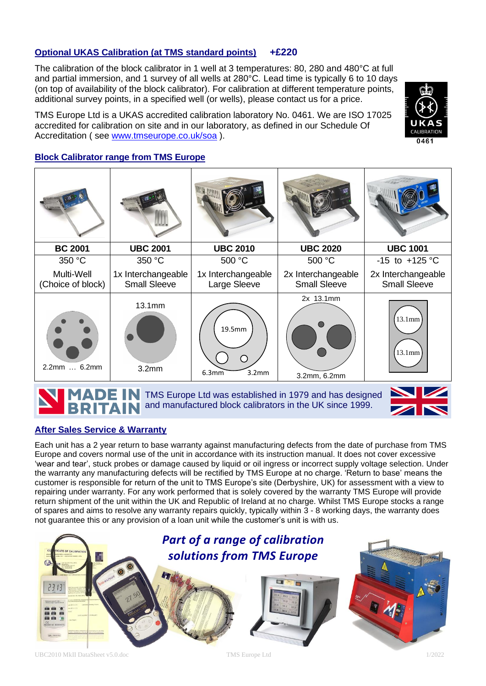### **Optional UKAS Calibration (at TMS standard points) +£220**

The calibration of the block calibrator in 1 well at 3 temperatures: 80, 280 and 480°C at full and partial immersion, and 1 survey of all wells at 280°C. Lead time is typically 6 to 10 days (on top of availability of the block calibrator). For calibration at different temperature points, additional survey points, in a specified well (or wells), please contact us for a price.

TMS Europe Ltd is a UKAS accredited calibration laboratory No. 0461. We are ISO 17025 accredited for calibration on site and in our laboratory, as defined in our Schedule Of Accreditation ( see [www.tmseurope.co.uk/soa](http://www.tmseurope.co.uk/soa) ).



#### **Block Calibrator range from TMS Europe**

| <b>BC 2001</b>                  | <b>UBC 2001</b>                           | <b>UBC 2010</b>                    | <b>UBC 2020</b>                           | <b>UBC 1001</b>                           |
|---------------------------------|-------------------------------------------|------------------------------------|-------------------------------------------|-------------------------------------------|
| 350 °C                          | 350 °C                                    | 500 °C                             | 500 °C                                    | $-15$ to $+125$ °C                        |
| Multi-Well<br>(Choice of block) | 1x Interchangeable<br><b>Small Sleeve</b> | 1x Interchangeable<br>Large Sleeve | 2x Interchangeable<br><b>Small Sleeve</b> | 2x Interchangeable<br><b>Small Sleeve</b> |
| 2.2mm  6.2mm                    | 13.1 <sub>mm</sub><br>3.2 <sub>mm</sub>   | 19.5mm<br>3.2mm<br>6.3mm           | 2x 13.1mm<br>3.2mm, 6.2mm                 | 13.1mm<br>13.1mm                          |

**ADE IN TMS Europe Ltd was established in 1979 and has designed** and manufactured block calibrators in the UK since 1999. TAIN



#### **After Sales Service & Warranty**

Each unit has a 2 year return to base warranty against manufacturing defects from the date of purchase from TMS Europe and covers normal use of the unit in accordance with its instruction manual. It does not cover excessive 'wear and tear', stuck probes or damage caused by liquid or oil ingress or incorrect supply voltage selection. Under the warranty any manufacturing defects will be rectified by TMS Europe at no charge. 'Return to base' means the customer is responsible for return of the unit to TMS Europe's site (Derbyshire, UK) for assessment with a view to repairing under warranty. For any work performed that is solely covered by the warranty TMS Europe will provide return shipment of the unit within the UK and Republic of Ireland at no charge. Whilst TMS Europe stocks a range of spares and aims to resolve any warranty repairs quickly, typically within 3 - 8 working days, the warranty does not guarantee this or any provision of a loan unit while the customer's unit is with us.